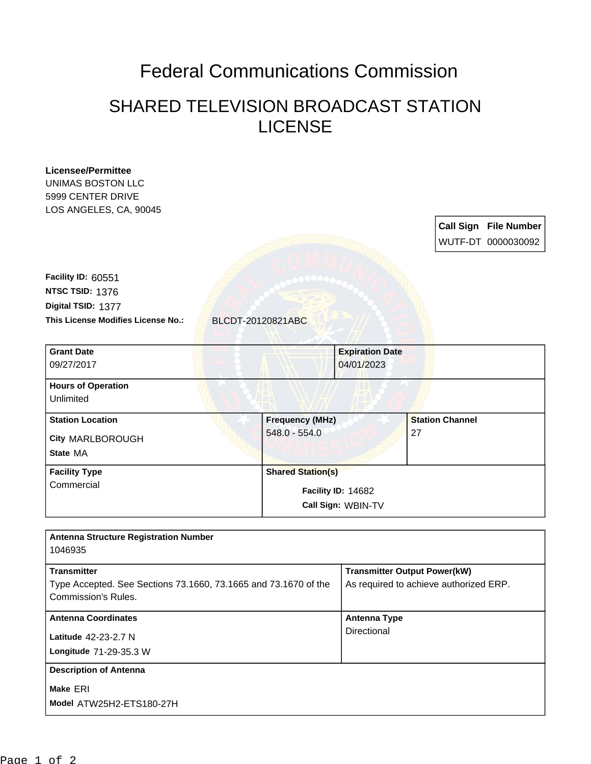## Federal Communications Commission

## SHARED TELEVISION BROADCAST STATION LICENSE

| <b>Licensee/Permittee</b><br>UNIMAS BOSTON LLC<br>5999 CENTER DRIVE<br>LOS ANGELES, CA, 90045 |                          |                                                                               |                        | <b>Call Sign File Number</b> |
|-----------------------------------------------------------------------------------------------|--------------------------|-------------------------------------------------------------------------------|------------------------|------------------------------|
|                                                                                               |                          |                                                                               |                        | WUTF-DT 0000030092           |
| Facility ID: 60551                                                                            |                          |                                                                               |                        |                              |
| NTSC TSID: 1376                                                                               |                          |                                                                               |                        |                              |
| Digital TSID: 1377                                                                            |                          |                                                                               |                        |                              |
| This License Modifies License No.:<br>BLCDT-20120821ABC                                       |                          |                                                                               |                        |                              |
|                                                                                               |                          |                                                                               |                        |                              |
| <b>Grant Date</b><br>09/27/2017                                                               |                          | <b>Expiration Date</b><br>04/01/2023                                          |                        |                              |
| <b>Hours of Operation</b>                                                                     |                          |                                                                               |                        |                              |
| Unlimited                                                                                     |                          |                                                                               |                        |                              |
| <b>Station Location</b>                                                                       | <b>Frequency (MHz)</b>   |                                                                               | <b>Station Channel</b> |                              |
| City MARLBOROUGH                                                                              | $548.0 - 554.0$          |                                                                               | 27                     |                              |
| State MA                                                                                      |                          |                                                                               |                        |                              |
| <b>Facility Type</b>                                                                          | <b>Shared Station(s)</b> |                                                                               |                        |                              |
| Commercial                                                                                    |                          | Facility ID: 14682                                                            |                        |                              |
|                                                                                               |                          | Call Sign: WBIN-TV                                                            |                        |                              |
|                                                                                               |                          |                                                                               |                        |                              |
| <b>Antenna Structure Registration Number</b><br>1046935                                       |                          |                                                                               |                        |                              |
| <b>Transmitter</b>                                                                            |                          |                                                                               |                        |                              |
| Type Accepted. See Sections 73.1660, 73.1665 and 73.1670 of the                               |                          | <b>Transmitter Output Power(kW)</b><br>As required to achieve authorized ERP. |                        |                              |
| Commission's Rules.                                                                           |                          |                                                                               |                        |                              |
| <b>Antenna Coordinates</b>                                                                    |                          | <b>Antenna Type</b>                                                           |                        |                              |
| Latitude 42-23-2.7 N                                                                          |                          | Directional                                                                   |                        |                              |
| Longitude 71-29-35.3 W                                                                        |                          |                                                                               |                        |                              |
| <b>Description of Antenna</b>                                                                 |                          |                                                                               |                        |                              |
| Make ERI                                                                                      |                          |                                                                               |                        |                              |
| Model ATW25H2-ETS180-27H                                                                      |                          |                                                                               |                        |                              |
|                                                                                               |                          |                                                                               |                        |                              |